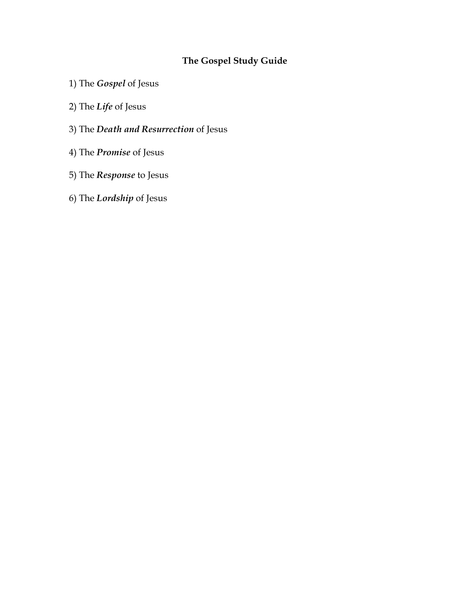# **The Gospel Study Guide**

- 1) The *Gospel* of Jesus
- 2) The *Life* of Jesus
- 3) The *Death and Resurrection* of Jesus
- 4) The *Promise* of Jesus
- 5) The *Response* to Jesus
- 6) The *Lordship* of Jesus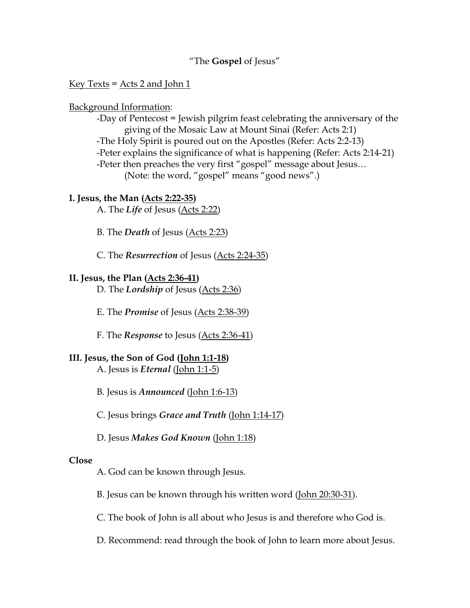#### "The **Gospel** of Jesus"

#### Key Texts =  $\text{Acts}$  2 and John 1

#### Background Information:

-Day of Pentecost = Jewish pilgrim feast celebrating the anniversary of the giving of the Mosaic Law at Mount Sinai (Refer: Acts 2:1) -The Holy Spirit is poured out on the Apostles (Refer: Acts 2:2-13) -Peter explains the significance of what is happening (Refer: Acts 2:14-21) -Peter then preaches the very first "gospel" message about Jesus... (Note: the word, "gospel" means "good news".)

#### **I. Jesus, the Man (Acts 2:22-35)**

A. The *Life* of Jesus (Acts 2:22)

B. The *Death* of Jesus (Acts 2:23)

C. The *Resurrection* of Jesus (Acts 2:24-35)

#### **II. Jesus, the Plan (Acts 2:36-41)**

D. The *Lordship* of Jesus (Acts 2:36)

E. The *Promise* of Jesus (Acts 2:38-39)

F. The *Response* to Jesus (Acts 2:36-41)

#### **III. Jesus, the Son of God (John 1:1-18)**

A. Jesus is *Eternal* (John 1:1-5)

B. Jesus is *Announced* (John 1:6-13)

C. Jesus brings *Grace and Truth* (John 1:14-17)

D. Jesus *Makes God Known* (John 1:18)

#### **Close**

A. God can be known through Jesus.

B. Jesus can be known through his written word (John 20:30-31).

C. The book of John is all about who Jesus is and therefore who God is.

D. Recommend: read through the book of John to learn more about Jesus.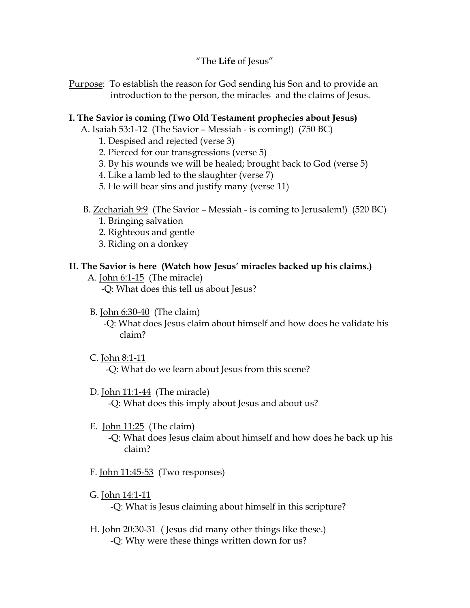"The **Life** of Jesus"

Purpose: To establish the reason for God sending his Son and to provide an introduction to the person, the miracles and the claims of Jesus.

#### **I. The Savior is coming (Two Old Testament prophecies about Jesus)**

- A. Isaiah 53:1-12 (The Savior Messiah is coming!) (750 BC)
	- 1. Despised and rejected (verse 3)
	- 2. Pierced for our transgressions (verse 5)
	- 3. By his wounds we will be healed; brought back to God (verse 5)
	- 4. Like a lamb led to the slaughter (verse 7)
	- 5. He will bear sins and justify many (verse 11)
- B. Zechariah 9:9 (The Savior Messiah is coming to Jerusalem!) (520 BC)
	- 1. Bringing salvation
	- 2. Righteous and gentle
	- 3. Riding on a donkey

## **II. The Savior is here (Watch how Jesus' miracles backed up his claims.)**

A. John 6:1-15 (The miracle)

-Q: What does this tell us about Jesus?

B. John 6:30-40 (The claim)

 -Q: What does Jesus claim about himself and how does he validate his claim?

- C. John 8:1-11 -Q: What do we learn about Jesus from this scene?
- D. John 11:1-44 (The miracle) -Q: What does this imply about Jesus and about us?
- E. John 11:25 (The claim) -Q: What does Jesus claim about himself and how does he back up his claim?
- F. John 11:45-53 (Two responses)
- G. John 14:1-11 -Q: What is Jesus claiming about himself in this scripture?
- H. John 20:30-31 ( Jesus did many other things like these.) -Q: Why were these things written down for us?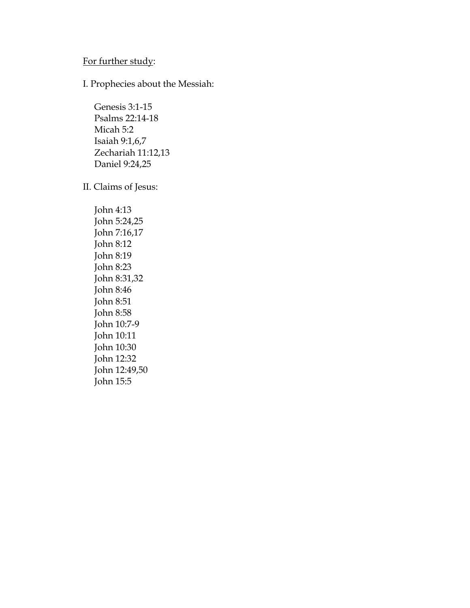# For further study:

I. Prophecies about the Messiah:

 Genesis 3:1-15 Psalms 22:14-18 Micah 5:2 Isaiah 9:1,6,7 Zechariah 11:12,13 Daniel 9:24,25

II. Claims of Jesus:

 John 4:13 John 5:24,25 John 7:16,17 John 8:12 John 8:19 John 8:23 John 8:31,32 John 8:46 John 8:51 John 8:58 John 10:7-9 John 10:11 John 10:30 John 12:32 John 12:49,50 John 15:5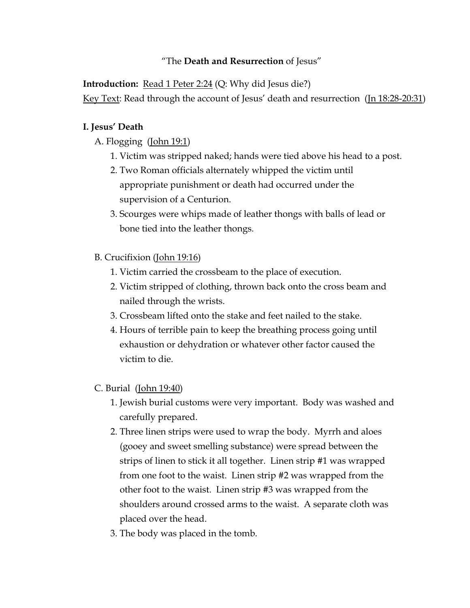# "The **Death and Resurrection** of Jesus"

**Introduction:** Read 1 Peter 2:24 (Q: Why did Jesus die?) Key Text: Read through the account of Jesus' death and resurrection (Jn 18:28-20:31)

## **I. Jesus' Death**

A. Flogging (John 19:1)

- 1. Victim was stripped naked; hands were tied above his head to a post.
- 2. Two Roman officials alternately whipped the victim until appropriate punishment or death had occurred under the supervision of a Centurion.
- 3. Scourges were whips made of leather thongs with balls of lead or bone tied into the leather thongs.

# B. Crucifixion (John 19:16)

- 1. Victim carried the crossbeam to the place of execution.
- 2. Victim stripped of clothing, thrown back onto the cross beam and nailed through the wrists.
- 3. Crossbeam lifted onto the stake and feet nailed to the stake.
- 4. Hours of terrible pain to keep the breathing process going until exhaustion or dehydration or whatever other factor caused the victim to die.

## C. Burial (John 19:40)

- 1. Jewish burial customs were very important. Body was washed and carefully prepared.
- 2. Three linen strips were used to wrap the body. Myrrh and aloes (gooey and sweet smelling substance) were spread between the strips of linen to stick it all together. Linen strip #1 was wrapped from one foot to the waist. Linen strip #2 was wrapped from the other foot to the waist. Linen strip #3 was wrapped from the shoulders around crossed arms to the waist. A separate cloth was placed over the head.
- 3. The body was placed in the tomb.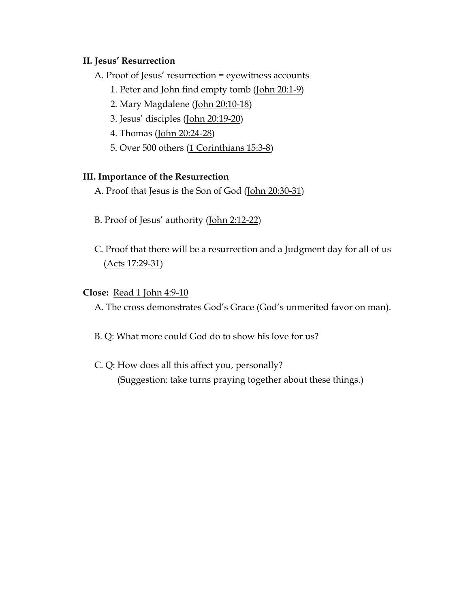#### **II. Jesus' Resurrection**

A. Proof of Jesus' resurrection = eyewitness accounts

- 1. Peter and John find empty tomb (John 20:1-9)
- 2. Mary Magdalene (John 20:10-18)
- 3. Jesus' disciples (John 20:19-20)
- 4. Thomas (John 20:24-28)
- 5. Over 500 others (1 Corinthians 15:3-8)

## **III. Importance of the Resurrection**

- A. Proof that Jesus is the Son of God (John 20:30-31)
- B. Proof of Jesus' authority (John 2:12-22)
- C. Proof that there will be a resurrection and a Judgment day for all of us (Acts 17:29-31)

## **Close:** Read 1 John 4:9-10

A. The cross demonstrates God's Grace (God's unmerited favor on man).

- B. Q: What more could God do to show his love for us?
- C. Q: How does all this affect you, personally? (Suggestion: take turns praying together about these things.)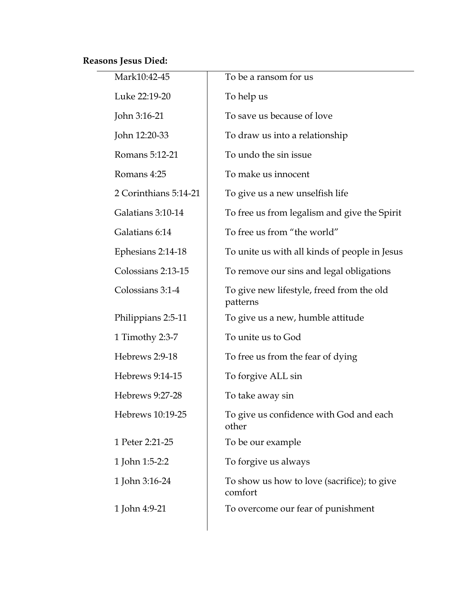# **Reasons Jesus Died:**

| Mark10:42-45          | To be a ransom for us                                  |
|-----------------------|--------------------------------------------------------|
| Luke 22:19-20         | To help us                                             |
| John 3:16-21          | To save us because of love                             |
| John 12:20-33         | To draw us into a relationship                         |
| Romans 5:12-21        | To undo the sin issue                                  |
| Romans 4:25           | To make us innocent                                    |
| 2 Corinthians 5:14-21 | To give us a new unselfish life                        |
| Galatians 3:10-14     | To free us from legalism and give the Spirit           |
| Galatians 6:14        | To free us from "the world"                            |
| Ephesians 2:14-18     | To unite us with all kinds of people in Jesus          |
| Colossians 2:13-15    | To remove our sins and legal obligations               |
| Colossians 3:1-4      | To give new lifestyle, freed from the old<br>patterns  |
| Philippians 2:5-11    | To give us a new, humble attitude                      |
| 1 Timothy 2:3-7       | To unite us to God                                     |
| Hebrews 2:9-18        | To free us from the fear of dying                      |
| Hebrews 9:14-15       | To forgive ALL sin                                     |
| Hebrews 9:27-28       | To take away sin                                       |
| Hebrews 10:19-25      | To give us confidence with God and each<br>other       |
| 1 Peter 2:21-25       | To be our example                                      |
| 1 John 1:5-2:2        | To forgive us always                                   |
| 1 John 3:16-24        | To show us how to love (sacrifice); to give<br>comfort |
| 1 John 4:9-21         | To overcome our fear of punishment                     |
|                       |                                                        |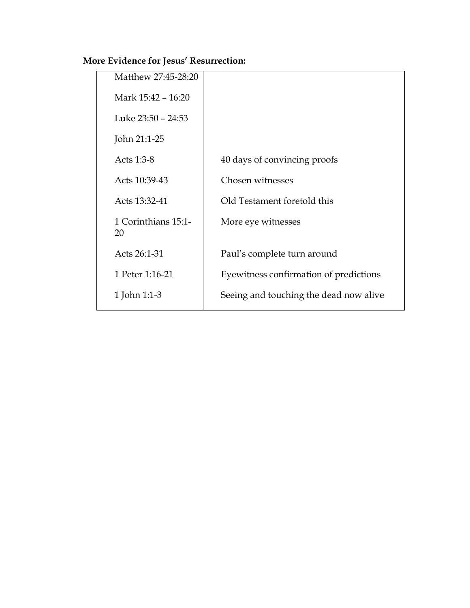# **More Evidence for Jesus' Resurrection:**

| Matthew 27:45-28:20       |                                        |
|---------------------------|----------------------------------------|
| Mark 15:42 – 16:20        |                                        |
| Luke 23:50 - 24:53        |                                        |
| John 21:1-25              |                                        |
| Acts 1:3-8                | 40 days of convincing proofs           |
| Acts 10:39-43             | Chosen witnesses                       |
| Acts 13:32-41             | Old Testament foretold this            |
| 1 Corinthians 15:1-<br>20 | More eye witnesses                     |
| Acts 26:1-31              | Paul's complete turn around            |
| 1 Peter 1:16-21           | Eyewitness confirmation of predictions |
| 1 John 1:1-3              | Seeing and touching the dead now alive |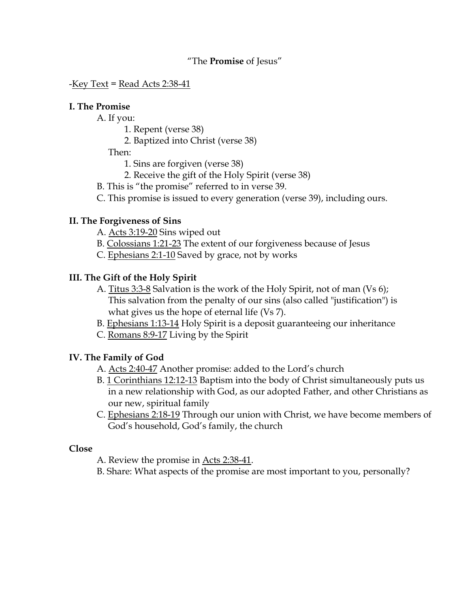#### "The **Promise** of Jesus"

 $-$ Key Text = Read Acts 2:38-41

#### **I. The Promise**

A. If you:

- 1. Repent (verse 38)
- 2. Baptized into Christ (verse 38)

Then:

- 1. Sins are forgiven (verse 38)
- 2. Receive the gift of the Holy Spirit (verse 38)
- B. This is "the promise" referred to in verse 39.
- C. This promise is issued to every generation (verse 39), including ours.

## **II. The Forgiveness of Sins**

- A. Acts 3:19-20 Sins wiped out
- B. Colossians 1:21-23 The extent of our forgiveness because of Jesus
- C. Ephesians 2:1-10 Saved by grace, not by works

#### **III. The Gift of the Holy Spirit**

- A. Titus 3:3-8 Salvation is the work of the Holy Spirit, not of man (Vs 6); This salvation from the penalty of our sins (also called "justification") is what gives us the hope of eternal life (Vs 7).
- B. Ephesians 1:13-14 Holy Spirit is a deposit guaranteeing our inheritance
- C. Romans 8:9-17 Living by the Spirit

## **IV. The Family of God**

- A. Acts 2:40-47 Another promise: added to the Lord's church
- B. 1 Corinthians 12:12-13 Baptism into the body of Christ simultaneously puts us in a new relationship with God, as our adopted Father, and other Christians as our new, spiritual family
- C. Ephesians 2:18-19 Through our union with Christ, we have become members of God's household, God's family, the church

#### **Close**

- A. Review the promise in Acts 2:38-41.
- B. Share: What aspects of the promise are most important to you, personally?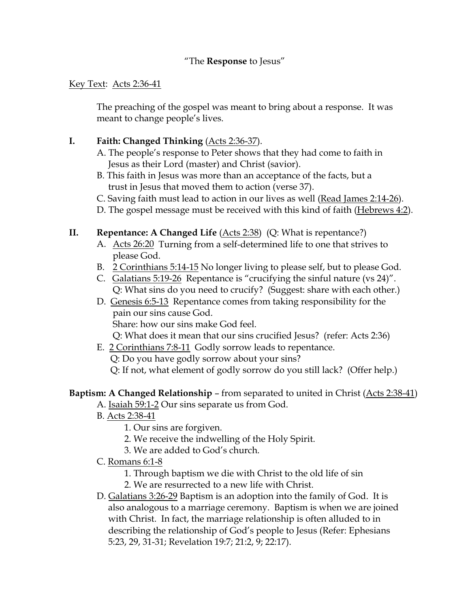## "The **Response** to Jesus"

#### Key Text: Acts 2:36-41

The preaching of the gospel was meant to bring about a response. It was meant to change people's lives.

# **I. Faith: Changed Thinking** (Acts 2:36-37).

- A. The people's response to Peter shows that they had come to faith in Jesus as their Lord (master) and Christ (savior).
- B. This faith in Jesus was more than an acceptance of the facts, but a trust in Jesus that moved them to action (verse 37).
- C. Saving faith must lead to action in our lives as well (Read James 2:14-26).
- D. The gospel message must be received with this kind of faith (Hebrews 4:2).

# **II. Repentance: A Changed Life** (Acts 2:38) (Q: What is repentance?)

- A. Acts 26:20 Turning from a self-determined life to one that strives to please God.
- B. 2 Corinthians 5:14-15 No longer living to please self, but to please God.
- C. Galatians 5:19-26 Repentance is "crucifying the sinful nature (vs 24)". Q: What sins do you need to crucify? (Suggest: share with each other.)
- D. Genesis 6:5-13 Repentance comes from taking responsibility for the pain our sins cause God. Share: how our sins make God feel.

Q: What does it mean that our sins crucified Jesus? (refer: Acts 2:36)

E. 2 Corinthians 7:8-11 Godly sorrow leads to repentance.

Q: Do you have godly sorrow about your sins?

Q: If not, what element of godly sorrow do you still lack? (Offer help.)

# **Baptism: A Changed Relationship** – from separated to united in Christ (Acts 2:38-41)

- A. Isaiah 59:1-2 Our sins separate us from God.
- B. Acts 2:38-41
	- 1. Our sins are forgiven.
	- 2. We receive the indwelling of the Holy Spirit.
	- 3. We are added to God's church.
- C. Romans 6:1-8
	- 1. Through baptism we die with Christ to the old life of sin
	- 2. We are resurrected to a new life with Christ.
- D. Galatians 3:26-29 Baptism is an adoption into the family of God. It is also analogous to a marriage ceremony. Baptism is when we are joined with Christ. In fact, the marriage relationship is often alluded to in describing the relationship of God's people to Jesus (Refer: Ephesians 5:23, 29, 31-31; Revelation 19:7; 21:2, 9; 22:17).